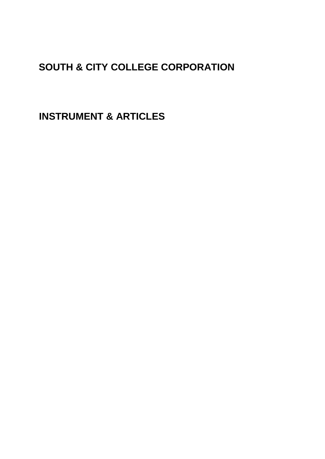# **SOUTH & CITY COLLEGE CORPORATION**

**INSTRUMENT & ARTICLES**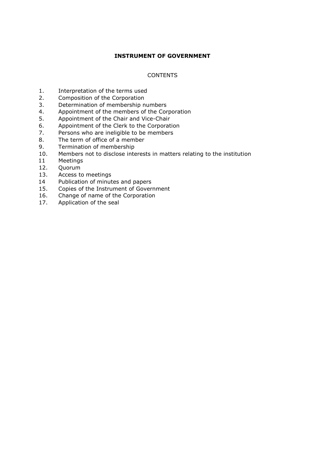# **INSTRUMENT OF GOVERNMENT**

## CONTENTS

- 1. Interpretation of the terms used
- 2. Composition of the Corporation<br>3. Determination of membership n
- Determination of membership numbers
- 4. Appointment of the members of the Corporation
- 5. Appointment of the Chair and Vice-Chair
- 6. Appointment of the Clerk to the Corporation
- 7. Persons who are ineligible to be members
- 8. The term of office of a member
- 9. Termination of membership<br>10. Members not to disclose inte
- Members not to disclose interests in matters relating to the institution
- 11 Meetings
- 12. Quorum
- 13. Access to meetings
- 14 Publication of minutes and papers
- 15. Copies of the Instrument of Government
- 16. Change of name of the Corporation
- 17. Application of the seal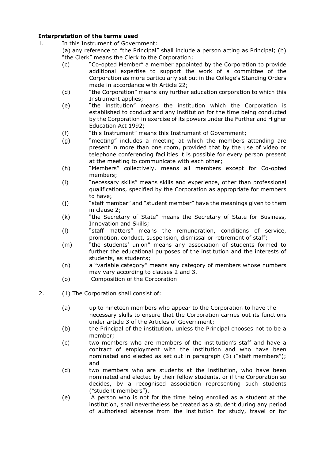# **Interpretation of the terms used**

- 1. In this Instrument of Government:
	- (a) any reference to "the Principal" shall include a person acting as Principal; (b) "the Clerk" means the Clerk to the Corporation;
		- (c) "Co-opted Member" a member appointed by the Corporation to provide additional expertise to support the work of a committee of the Corporation as more particularly set out in the College's Standing Orders made in accordance with Article 22;
		- (d) "the Corporation" means any further education corporation to which this Instrument applies;
		- (e) "the institution" means the institution which the Corporation is established to conduct and any institution for the time being conducted by the Corporation in exercise of its powers under the Further and Higher Education Act 1992;
		- (f) "this Instrument" means this Instrument of Government;
		- (g) "meeting" includes a meeting at which the members attending are present in more than one room, provided that by the use of video or telephone conferencing facilities it is possible for every person present at the meeting to communicate with each other;
		- (h) "Members" collectively, means all members except for Co-opted members;
		- (i) "necessary skills" means skills and experience, other than professional qualifications, specified by the Corporation as appropriate for members to have;
		- (j) "staff member" and "student member" have the meanings given to them in clause 2;
		- (k) "the Secretary of State" means the Secretary of State for Business, Innovation and Skills;
		- (l) "staff matters" means the remuneration, conditions of service, promotion, conduct, suspension, dismissal or retirement of staff;
		- (m) "the students' union" means any association of students formed to further the educational purposes of the institution and the interests of students, as students;
		- (n) a "variable category" means any category of members whose numbers may vary according to clauses 2 and 3.
		- (o) Composition of the Corporation
- 2. (1) The Corporation shall consist of:
	- (a) up to nineteen members who appear to the Corporation to have the necessary skills to ensure that the Corporation carries out its functions under article 3 of the Articles of Government;
	- (b) the Principal of the institution, unless the Principal chooses not to be a member;
	- (c) two members who are members of the institution's staff and have a contract of employment with the institution and who have been nominated and elected as set out in paragraph (3) ("staff members"); and
	- (d) two members who are students at the institution, who have been nominated and elected by their fellow students, or if the Corporation so decides, by a recognised association representing such students ("student members").
	- (e) A person who is not for the time being enrolled as a student at the institution, shall nevertheless be treated as a student during any period of authorised absence from the institution for study, travel or for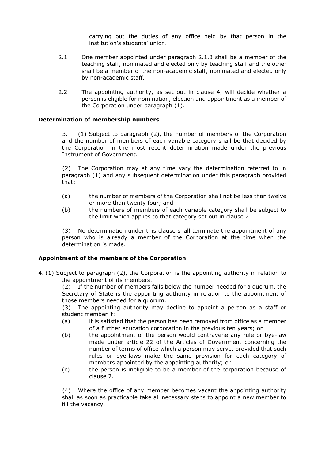carrying out the duties of any office held by that person in the institution's students' union.

- 2.1 One member appointed under paragraph 2.1.3 shall be a member of the teaching staff, nominated and elected only by teaching staff and the other shall be a member of the non-academic staff, nominated and elected only by non-academic staff.
- 2.2 The appointing authority, as set out in clause 4, will decide whether a person is eligible for nomination, election and appointment as a member of the Corporation under paragraph (1).

#### **Determination of membership numbers**

3. (1) Subject to paragraph (2), the number of members of the Corporation and the number of members of each variable category shall be that decided by the Corporation in the most recent determination made under the previous Instrument of Government.

(2) The Corporation may at any time vary the determination referred to in paragraph (1) and any subsequent determination under this paragraph provided that:

- (a) the number of members of the Corporation shall not be less than twelve or more than twenty four; and
- (b) the numbers of members of each variable category shall be subject to the limit which applies to that category set out in clause 2.

(3) No determination under this clause shall terminate the appointment of any person who is already a member of the Corporation at the time when the determination is made.

#### **Appointment of the members of the Corporation**

4. (1) Subject to paragraph (2), the Corporation is the appointing authority in relation to the appointment of its members.

(2) If the number of members falls below the number needed for a quorum, the Secretary of State is the appointing authority in relation to the appointment of those members needed for a quorum.

(3) The appointing authority may decline to appoint a person as a staff or student member if:

- (a) it is satisfied that the person has been removed from office as a member of a further education corporation in the previous ten years; or
- (b) the appointment of the person would contravene any rule or bye-law made under article 22 of the Articles of Government concerning the number of terms of office which a person may serve, provided that such rules or bye-laws make the same provision for each category of members appointed by the appointing authority; or
- (c) the person is ineligible to be a member of the corporation because of clause 7.

(4) Where the office of any member becomes vacant the appointing authority shall as soon as practicable take all necessary steps to appoint a new member to fill the vacancy.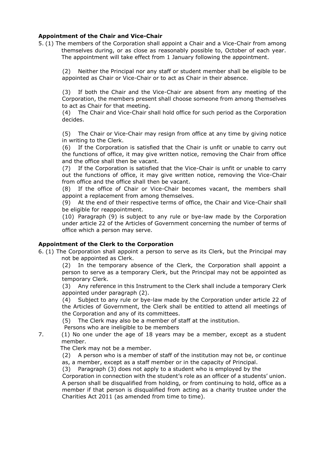## **Appointment of the Chair and Vice-Chair**

5. (1) The members of the Corporation shall appoint a Chair and a Vice-Chair from among themselves during, or as close as reasonably possible to, October of each year. The appointment will take effect from 1 January following the appointment.

(2) Neither the Principal nor any staff or student member shall be eligible to be appointed as Chair or Vice-Chair or to act as Chair in their absence.

(3) If both the Chair and the Vice-Chair are absent from any meeting of the Corporation, the members present shall choose someone from among themselves to act as Chair for that meeting.

(4) The Chair and Vice-Chair shall hold office for such period as the Corporation decides.

(5) The Chair or Vice-Chair may resign from office at any time by giving notice in writing to the Clerk.

(6) If the Corporation is satisfied that the Chair is unfit or unable to carry out the functions of office, it may give written notice, removing the Chair from office and the office shall then be vacant.

(7) If the Corporation is satisfied that the Vice-Chair is unfit or unable to carry out the functions of office, it may give written notice, removing the Vice-Chair from office and the office shall then be vacant.

(8) If the office of Chair or Vice-Chair becomes vacant, the members shall appoint a replacement from among themselves.

(9) At the end of their respective terms of office, the Chair and Vice-Chair shall be eligible for reappointment.

(10) Paragraph (9) is subject to any rule or bye-law made by the Corporation under article 22 of the Articles of Government concerning the number of terms of office which a person may serve.

## **Appointment of the Clerk to the Corporation**

6. (1) The Corporation shall appoint a person to serve as its Clerk, but the Principal may not be appointed as Clerk.

(2) In the temporary absence of the Clerk, the Corporation shall appoint a person to serve as a temporary Clerk, but the Principal may not be appointed as temporary Clerk.

(3) Any reference in this Instrument to the Clerk shall include a temporary Clerk appointed under paragraph (2).

(4) Subject to any rule or bye-law made by the Corporation under article 22 of the Articles of Government, the Clerk shall be entitled to attend all meetings of the Corporation and any of its committees.

(5) The Clerk may also be a member of staff at the institution.

Persons who are ineligible to be members

7. (1) No one under the age of 18 years may be a member, except as a student member.

The Clerk may not be a member.

(2) A person who is a member of staff of the institution may not be, or continue

as, a member, except as a staff member or in the capacity of Principal. (3) Paragraph (3) does not apply to a student who is employed by the

Corporation in connection with the student's role as an officer of a students' union. A person shall be disqualified from holding, or from continuing to hold, office as a member if that person is disqualified from acting as a charity trustee under the Charities Act 2011 (as amended from time to time).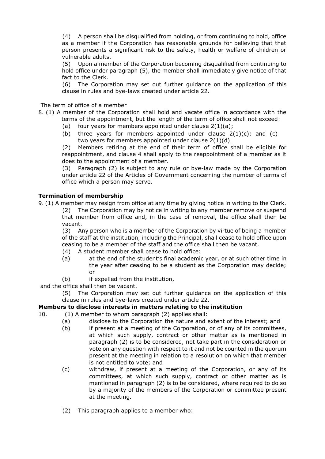(4) A person shall be disqualified from holding, or from continuing to hold, office as a member if the Corporation has reasonable grounds for believing that that person presents a significant risk to the safety, health or welfare of children or vulnerable adults.

(5) Upon a member of the Corporation becoming disqualified from continuing to hold office under paragraph (5), the member shall immediately give notice of that fact to the Clerk.

(6) The Corporation may set out further guidance on the application of this clause in rules and bye-laws created under article 22.

The term of office of a member

- 8. (1) A member of the Corporation shall hold and vacate office in accordance with the terms of the appointment, but the length of the term of office shall not exceed:
	- (a) four years for members appointed under clause  $2(1)(a)$ ;
	- (b) three years for members appointed under clause  $2(1)(c)$ ; and  $(c)$ two years for members appointed under clause 2(1)(d).

(2) Members retiring at the end of their term of office shall be eligible for reappointment, and clause 4 shall apply to the reappointment of a member as it does to the appointment of a member.

(3) Paragraph (2) is subject to any rule or bye-law made by the Corporation under article 22 of the Articles of Government concerning the number of terms of office which a person may serve.

# **Termination of membership**

9. (1) A member may resign from office at any time by giving notice in writing to the Clerk. (2) The Corporation may by notice in writing to any member remove or suspend that member from office and, in the case of removal, the office shall then be vacant.

(3) Any person who is a member of the Corporation by virtue of being a member of the staff at the institution, including the Principal, shall cease to hold office upon ceasing to be a member of the staff and the office shall then be vacant.

- (4) A student member shall cease to hold office:
- (a) at the end of the student's final academic year, or at such other time in the year after ceasing to be a student as the Corporation may decide; or
- (b) if expelled from the institution,

and the office shall then be vacant.

(5) The Corporation may set out further guidance on the application of this clause in rules and bye-laws created under article 22.

# **Members to disclose interests in matters relating to the institution**

- 10. (1) A member to whom paragraph (2) applies shall:
	- (a) disclose to the Corporation the nature and extent of the interest; and
	- (b) if present at a meeting of the Corporation, or of any of its committees, at which such supply, contract or other matter as is mentioned in paragraph (2) is to be considered, not take part in the consideration or vote on any question with respect to it and not be counted in the quorum present at the meeting in relation to a resolution on which that member is not entitled to vote; and
	- (c) withdraw, if present at a meeting of the Corporation, or any of its committees, at which such supply, contract or other matter as is mentioned in paragraph (2) is to be considered, where required to do so by a majority of the members of the Corporation or committee present at the meeting.
	- (2) This paragraph applies to a member who: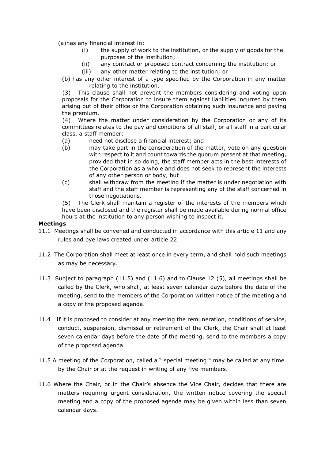(a)has any financial interest in:

- (i) the supply of work to the institution, or the supply of goods for the purposes of the institution;
- (ii) any contract or proposed contract concerning the institution; or
- (iii) any other matter relating to the institution; or

(b) has any other interest of a type specified by the Corporation in any matter relating to the institution.

(3) This clause shall not prevent the members considering and voting upon proposals for the Corporation to insure them against liabilities incurred by them arising out of their office or the Corporation obtaining such insurance and paying the premium.

(4) Where the matter under consideration by the Corporation or any of its committees relates to the pay and conditions of all staff, or all staff in a particular class, a staff member:

- (a) need not disclose a financial interest; and
- (b) may take part in the consideration of the matter, vote on any question with respect to it and count towards the quorum present at that meeting, provided that in so doing, the staff member acts in the best interests of the Corporation as a whole and does not seek to represent the interests of any other person or body, but
- (c) shall withdraw from the meeting if the matter is under negotiation with staff and the staff member is representing any of the staff concerned in those negotiations.

(5) The Clerk shall maintain a register of the interests of the members which have been disclosed and the register shall be made available during normal office hours at the institution to any person wishing to inspect it.

#### **Meetings**

- 11.1 Meetings shall be convened and conducted in accordance with this article 11 and any rules and bye laws created under article 22.
- 11.2 The Corporation shall meet at least once in every term, and shall hold such meetings as may be necessary.
- 11.3 Subject to paragraph (11.5) and (11.6) and to Clause 12 (5), all meetings shall be called by the Clerk, who shall, at least seven calendar days before the date of the meeting, send to the members of the Corporation written notice of the meeting and a copy of the proposed agenda.
- 11.4 If it is proposed to consider at any meeting the remuneration, conditions of service, conduct, suspension, dismissal or retirement of the Clerk, the Chair shall at least seven calendar days before the date of the meeting, send to the members a copy of the proposed agenda.
- 11.5 A meeting of the Corporation, called a " special meeting " may be called at any time by the Chair or at the request in writing of any five members.
- 11.6 Where the Chair, or in the Chair's absence the Vice Chair, decides that there are matters requiring urgent consideration, the written notice covering the special meeting and a copy of the proposed agenda may be given within less than seven calendar days.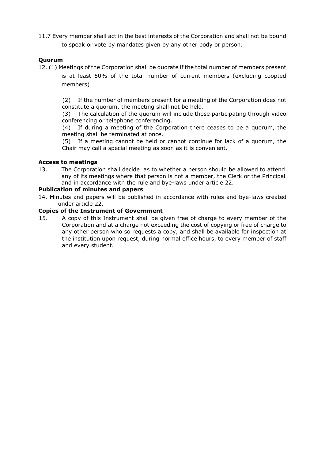11.7 Every member shall act in the best interests of the Corporation and shall not be bound to speak or vote by mandates given by any other body or person.

# **Quorum**

12. (1) Meetings of the Corporation shall be quorate if the total number of members present is at least 50% of the total number of current members (excluding coopted members)

(2) If the number of members present for a meeting of the Corporation does not constitute a quorum, the meeting shall not be held.

(3) The calculation of the quorum will include those participating through video conferencing or telephone conferencing.

(4) If during a meeting of the Corporation there ceases to be a quorum, the meeting shall be terminated at once.

(5) If a meeting cannot be held or cannot continue for lack of a quorum, the Chair may call a special meeting as soon as it is convenient.

#### **Access to meetings**

13. The Corporation shall decide as to whether a person should be allowed to attend any of its meetings where that person is not a member, the Clerk or the Principal and in accordance with the rule and bye-laws under article 22.

#### **Publication of minutes and papers**

14. Minutes and papers will be published in accordance with rules and bye-laws created under article 22.

#### **Copies of the Instrument of Government**

15. A copy of this Instrument shall be given free of charge to every member of the Corporation and at a charge not exceeding the cost of copying or free of charge to any other person who so requests a copy, and shall be available for inspection at the institution upon request, during normal office hours, to every member of staff and every student.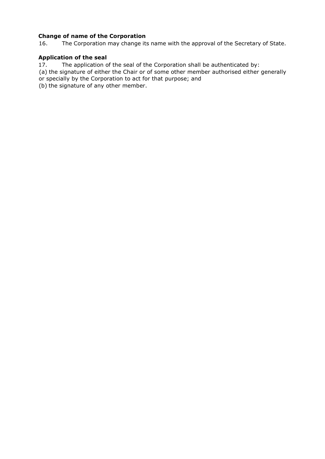# **Change of name of the Corporation**

16. The Corporation may change its name with the approval of the Secretary of State.

# **Application of the seal**

17. The application of the seal of the Corporation shall be authenticated by:

(a) the signature of either the Chair or of some other member authorised either generally or specially by the Corporation to act for that purpose; and

(b) the signature of any other member.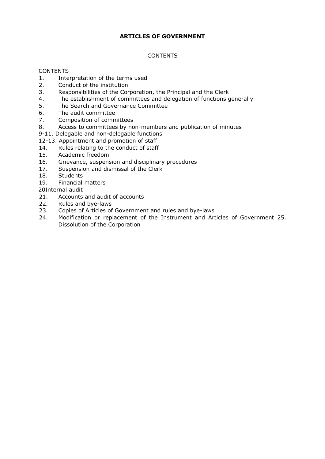# **ARTICLES OF GOVERNMENT**

# **CONTENTS**

## **CONTENTS**

- 1. Interpretation of the terms used
- 2. Conduct of the institution
- 3. Responsibilities of the Corporation, the Principal and the Clerk
- 4. The establishment of committees and delegation of functions generally
- 5. The Search and Governance Committee
- 6. The audit committee
- 7. Composition of committees
- 8. Access to committees by non-members and publication of minutes
- 9-11. Delegable and non-delegable functions
- 12-13. Appointment and promotion of staff
- 14. Rules relating to the conduct of staff
- 15. Academic freedom
- 16. Grievance, suspension and disciplinary procedures
- 17. Suspension and dismissal of the Clerk
- 18. Students
- 19. Financial matters

## 20Internal audit

- 21. Accounts and audit of accounts
- 22. Rules and bye-laws
- 23. Copies of Articles of Government and rules and bye-laws
- 24. Modification or replacement of the Instrument and Articles of Government 25. Dissolution of the Corporation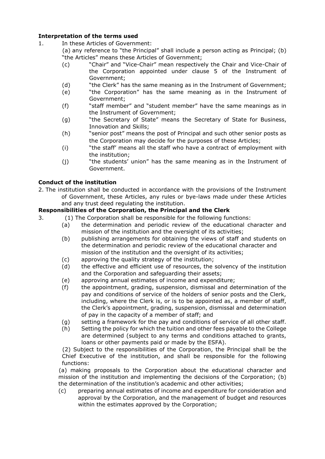# **Interpretation of the terms used**

- 1. In these Articles of Government:
	- (a) any reference to "the Principal" shall include a person acting as Principal; (b) "the Articles" means these Articles of Government;
		- (c) "Chair" and "Vice-Chair" mean respectively the Chair and Vice-Chair of the Corporation appointed under clause 5 of the Instrument of Government;
		- (d) "the Clerk" has the same meaning as in the Instrument of Government;
		- (e) "the Corporation" has the same meaning as in the Instrument of Government;
		- (f) "staff member" and "student member" have the same meanings as in the Instrument of Government;
		- (g) "the Secretary of State" means the Secretary of State for Business, Innovation and Skills;
		- (h) "senior post" means the post of Principal and such other senior posts as the Corporation may decide for the purposes of these Articles;
		- (i) "the staff' means all the staff who have a contract of employment with the institution;
		- (j) "the students' union" has the same meaning as in the Instrument of Government.

## **Conduct of the institution**

2. The institution shall be conducted in accordance with the provisions of the Instrument of Government, these Articles, any rules or bye-laws made under these Articles and any trust deed regulating the institution.

#### **Responsibilities of the Corporation, the Principal and the Clerk**

- 3. (1) The Corporation shall be responsible for the following functions:
	- (a) the determination and periodic review of the educational character and mission of the institution and the oversight of its activities;
	- (b) publishing arrangements for obtaining the views of staff and students on the determination and periodic review of the educational character and mission of the institution and the oversight of its activities;
	- (c) approving the quality strategy of the institution;
	- (d) the effective and efficient use of resources, the solvency of the institution and the Corporation and safeguarding their assets;
	- (e) approving annual estimates of income and expenditure;
	- (f) the appointment, grading, suspension, dismissal and determination of the pay and conditions of service of the holders of senior posts and the Clerk, including, where the Clerk is, or is to be appointed as, a member of staff, the Clerk's appointment, grading, suspension, dismissal and determination of pay in the capacity of a member of staff; and
	- (g) setting a framework for the pay and conditions of service of all other staff.
	- (h) Setting the policy for which the tuition and other fees payable to the College are determined (subject to any terms and conditions attached to grants, loans or other payments paid or made by the ESFA).

(2) Subject to the responsibilities of the Corporation, the Principal shall be the Chief Executive of the institution, and shall be responsible for the following functions:

(a) making proposals to the Corporation about the educational character and mission of the institution and implementing the decisions of the Corporation; (b) the determination of the institution's academic and other activities;

(c) preparing annual estimates of income and expenditure for consideration and approval by the Corporation, and the management of budget and resources within the estimates approved by the Corporation;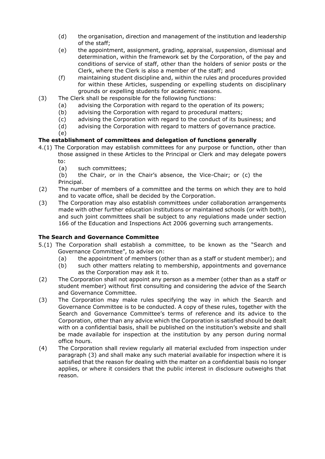- (d) the organisation, direction and management of the institution and leadership of the staff;
- (e) the appointment, assignment, grading, appraisal, suspension, dismissal and determination, within the framework set by the Corporation, of the pay and conditions of service of staff, other than the holders of senior posts or the Clerk, where the Clerk is also a member of the staff; and
- (f) maintaining student discipline and, within the rules and procedures provided for within these Articles, suspending or expelling students on disciplinary grounds or expelling students for academic reasons.
- (3) The Clerk shall be responsible for the following functions:
	- (a) advising the Corporation with regard to the operation of its powers;
	- (b) advising the Corporation with regard to procedural matters;
	- (c) advising the Corporation with regard to the conduct of its business; and
	- (d) advising the Corporation with regard to matters of governance practice.
	- (e)

# **The establishment of committees and delegation of functions generally**

- 4.(1) The Corporation may establish committees for any purpose or function, other than those assigned in these Articles to the Principal or Clerk and may delegate powers to:
	- (a) such committees;
	- (b) the Chair, or in the Chair's absence, the Vice-Chair; or (c) the Principal.
- (2) The number of members of a committee and the terms on which they are to hold and to vacate office, shall be decided by the Corporation.
- (3) The Corporation may also establish committees under collaboration arrangements made with other further education institutions or maintained schools (or with both), and such joint committees shall be subject to any regulations made under section 166 of the Education and Inspections Act 2006 governing such arrangements.

## **The Search and Governance Committee**

- 5.(1) The Corporation shall establish a committee, to be known as the "Search and Governance Committee", to advise on:
	- (a) the appointment of members (other than as a staff or student member); and
	- (b) such other matters relating to membership, appointments and governance as the Corporation may ask it to.
- (2) The Corporation shall not appoint any person as a member (other than as a staff or student member) without first consulting and considering the advice of the Search and Governance Committee.
- (3) The Corporation may make rules specifying the way in which the Search and Governance Committee is to be conducted. A copy of these rules, together with the Search and Governance Committee's terms of reference and its advice to the Corporation, other than any advice which the Corporation is satisfied should be dealt with on a confidential basis, shall be published on the institution's website and shall be made available for inspection at the institution by any person during normal office hours.
- (4) The Corporation shall review regularly all material excluded from inspection under paragraph (3) and shall make any such material available for inspection where it is satisfied that the reason for dealing with the matter on a confidential basis no longer applies, or where it considers that the public interest in disclosure outweighs that reason.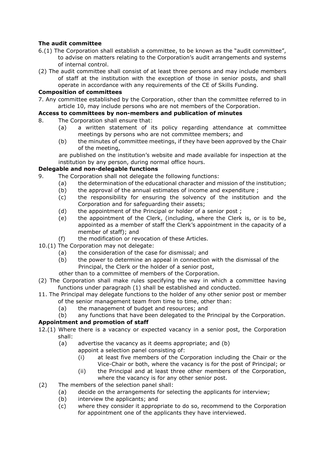# **The audit committee**

- 6.(1) The Corporation shall establish a committee, to be known as the "audit committee", to advise on matters relating to the Corporation's audit arrangements and systems of internal control.
- (2) The audit committee shall consist of at least three persons and may include members of staff at the institution with the exception of those in senior posts, and shall operate in accordance with any requirements of the CE of Skills Funding.

## **Composition of committees**

7. Any committee established by the Corporation, other than the committee referred to in article 10, may include persons who are not members of the Corporation.

# **Access to committees by non-members and publication of minutes**

- 8. The Corporation shall ensure that:
	- (a) a written statement of its policy regarding attendance at committee meetings by persons who are not committee members; and
	- (b) the minutes of committee meetings, if they have been approved by the Chair of the meeting,

are published on the institution's website and made available for inspection at the institution by any person, during normal office hours.

## **Delegable and non-delegable functions**

- 9. The Corporation shall not delegate the following functions:
	- (a) the determination of the educational character and mission of the institution;
	- (b) the approval of the annual estimates of income and expenditure ;
	- (c) the responsibility for ensuring the solvency of the institution and the Corporation and for safeguarding their assets;
	- (d) the appointment of the Principal or holder of a senior post;
	- (e) the appointment of the Clerk, (including, where the Clerk is, or is to be, appointed as a member of staff the Clerk's appointment in the capacity of a member of staff); and
	- (f) the modification or revocation of these Articles.
- 10.(1) The Corporation may not delegate:
	- (a) the consideration of the case for dismissal; and
	- (b) the power to determine an appeal in connection with the dismissal of the Principal, the Clerk or the holder of a senior post,
	- other than to a committee of members of the Corporation.
- (2) The Corporation shall make rules specifying the way in which a committee having functions under paragraph (1) shall be established and conducted.
- 11. The Principal may delegate functions to the holder of any other senior post or member of the senior management team from time to time, other than:
	- (a) the management of budget and resources; and
	- (b) any functions that have been delegated to the Principal by the Corporation.

# **Appointment and promotion of staff**

- 12.(1) Where there is a vacancy or expected vacancy in a senior post, the Corporation shall:
	- (a) advertise the vacancy as it deems appropriate; and (b) appoint a selection panel consisting of:
		- (i) at least five members of the Corporation including the Chair or the Vice-Chair or both, where the vacancy is for the post of Principal; or
		- (ii) the Principal and at least three other members of the Corporation, where the vacancy is for any other senior post.
- (2) The members of the selection panel shall:
	- (a) decide on the arrangements for selecting the applicants for interview;
	- (b) interview the applicants; and
	- (c) where they consider it appropriate to do so, recommend to the Corporation for appointment one of the applicants they have interviewed.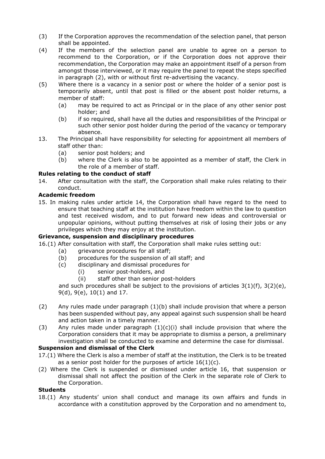- (3) If the Corporation approves the recommendation of the selection panel, that person shall be appointed.
- (4) If the members of the selection panel are unable to agree on a person to recommend to the Corporation, or if the Corporation does not approve their recommendation, the Corporation may make an appointment itself of a person from amongst those interviewed, or it may require the panel to repeat the steps specified in paragraph (2), with or without first re-advertising the vacancy.
- (5) Where there is a vacancy in a senior post or where the holder of a senior post is temporarily absent, until that post is filled or the absent post holder returns, a member of staff:
	- (a) may be required to act as Principal or in the place of any other senior post holder; and
	- (b) if so required, shall have all the duties and responsibilities of the Principal or such other senior post holder during the period of the vacancy or temporary absence.
- 13. The Principal shall have responsibility for selecting for appointment all members of staff other than:
	- (a) senior post holders; and
	- (b) where the Clerk is also to be appointed as a member of staff, the Clerk in the role of a member of staff.

# **Rules relating to the conduct of staff**

14. After consultation with the staff, the Corporation shall make rules relating to their conduct.

# **Academic freedom**

15. In making rules under article 14, the Corporation shall have regard to the need to ensure that teaching staff at the institution have freedom within the law to question and test received wisdom, and to put forward new ideas and controversial or unpopular opinions, without putting themselves at risk of losing their jobs or any privileges which they may enjoy at the institution.

## **Grievance, suspension and disciplinary procedures**

16.(1) After consultation with staff, the Corporation shall make rules setting out:

- (a) grievance procedures for all staff;
- (b) procedures for the suspension of all staff; and
- (c) disciplinary and dismissal procedures for
	- (i) senior post-holders, and
	- (ii) staff other than senior post-holders

and such procedures shall be subject to the provisions of articles  $3(1)(f)$ ,  $3(2)(e)$ , 9(d), 9(e), 10(1) and 17.

- (2) Any rules made under paragraph (1)(b) shall include provision that where a person has been suspended without pay, any appeal against such suspension shall be heard and action taken in a timely manner.
- (3) Any rules made under paragraph  $(1)(c)(i)$  shall include provision that where the Corporation considers that it may be appropriate to dismiss a person, a preliminary investigation shall be conducted to examine and determine the case for dismissal.

## **Suspension and dismissal of the Clerk**

- 17.(1) Where the Clerk is also a member of staff at the institution, the Clerk is to be treated as a senior post holder for the purposes of article  $16(1)(c)$ .
- (2) Where the Clerk is suspended or dismissed under article 16, that suspension or dismissal shall not affect the position of the Clerk in the separate role of Clerk to the Corporation.

## **Students**

18.(1) Any students' union shall conduct and manage its own affairs and funds in accordance with a constitution approved by the Corporation and no amendment to,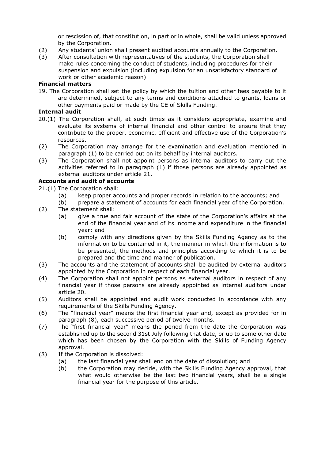or rescission of, that constitution, in part or in whole, shall be valid unless approved by the Corporation.

- (2) Any students' union shall present audited accounts annually to the Corporation.
- (3) After consultation with representatives of the students, the Corporation shall make rules concerning the conduct of students, including procedures for their suspension and expulsion (including expulsion for an unsatisfactory standard of work or other academic reason).

#### **Financial matters**

19. The Corporation shall set the policy by which the tuition and other fees payable to it are determined, subject to any terms and conditions attached to grants, loans or other payments paid or made by the CE of Skills Funding.

## **Internal audit**

- 20.(1) The Corporation shall, at such times as it considers appropriate, examine and evaluate its systems of internal financial and other control to ensure that they contribute to the proper, economic, efficient and effective use of the Corporation's resources.
- (2) The Corporation may arrange for the examination and evaluation mentioned in paragraph (1) to be carried out on its behalf by internal auditors.
- (3) The Corporation shall not appoint persons as internal auditors to carry out the activities referred to in paragraph (1) if those persons are already appointed as external auditors under article 21.

#### **Accounts and audit of accounts**

- 21.(1) The Corporation shall:
	- (a) keep proper accounts and proper records in relation to the accounts; and
	- (b) prepare a statement of accounts for each financial year of the Corporation.
- (2) The statement shall:
	- (a) give a true and fair account of the state of the Corporation's affairs at the end of the financial year and of its income and expenditure in the financial year; and
	- (b) comply with any directions given by the Skills Funding Agency as to the information to be contained in it, the manner in which the information is to be presented, the methods and principles according to which it is to be prepared and the time and manner of publication.
- (3) The accounts and the statement of accounts shall be audited by external auditors appointed by the Corporation in respect of each financial year.
- (4) The Corporation shall not appoint persons as external auditors in respect of any financial year if those persons are already appointed as internal auditors under article 20.
- (5) Auditors shall be appointed and audit work conducted in accordance with any requirements of the Skills Funding Agency.
- (6) The "financial year" means the first financial year and, except as provided for in paragraph (8), each successive period of twelve months.
- (7) The "first financial year" means the period from the date the Corporation was established up to the second 31st July following that date, or up to some other date which has been chosen by the Corporation with the Skills of Funding Agency approval.
- (8) If the Corporation is dissolved:
	- (a) the last financial year shall end on the date of dissolution; and
	- (b) the Corporation may decide, with the Skills Funding Agency approval, that what would otherwise be the last two financial years, shall be a single financial year for the purpose of this article.